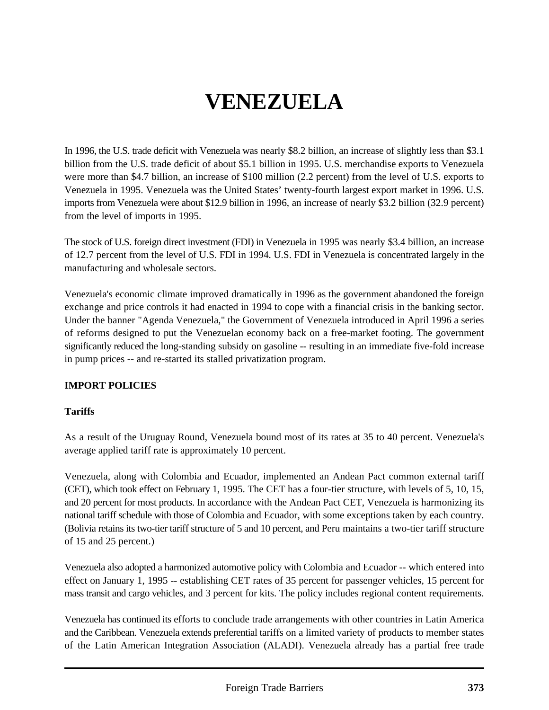# **VENEZUELA**

In 1996, the U.S. trade deficit with Venezuela was nearly \$8.2 billion, an increase of slightly less than \$3.1 billion from the U.S. trade deficit of about \$5.1 billion in 1995. U.S. merchandise exports to Venezuela were more than \$4.7 billion, an increase of \$100 million (2.2 percent) from the level of U.S. exports to Venezuela in 1995. Venezuela was the United States' twenty-fourth largest export market in 1996. U.S. imports from Venezuela were about \$12.9 billion in 1996, an increase of nearly \$3.2 billion (32.9 percent) from the level of imports in 1995.

The stock of U.S. foreign direct investment (FDI) in Venezuela in 1995 was nearly \$3.4 billion, an increase of 12.7 percent from the level of U.S. FDI in 1994. U.S. FDI in Venezuela is concentrated largely in the manufacturing and wholesale sectors.

Venezuela's economic climate improved dramatically in 1996 as the government abandoned the foreign exchange and price controls it had enacted in 1994 to cope with a financial crisis in the banking sector. Under the banner "Agenda Venezuela," the Government of Venezuela introduced in April 1996 a series of reforms designed to put the Venezuelan economy back on a free-market footing. The government significantly reduced the long-standing subsidy on gasoline -- resulting in an immediate five-fold increase in pump prices -- and re-started its stalled privatization program.

## **IMPORT POLICIES**

## **Tariffs**

As a result of the Uruguay Round, Venezuela bound most of its rates at 35 to 40 percent. Venezuela's average applied tariff rate is approximately 10 percent.

Venezuela, along with Colombia and Ecuador, implemented an Andean Pact common external tariff (CET), which took effect on February 1, 1995. The CET has a four-tier structure, with levels of 5, 10, 15, and 20 percent for most products. In accordance with the Andean Pact CET, Venezuela is harmonizing its national tariff schedule with those of Colombia and Ecuador, with some exceptions taken by each country. (Bolivia retains its two-tier tariff structure of 5 and 10 percent, and Peru maintains a two-tier tariff structure of 15 and 25 percent.)

Venezuela also adopted a harmonized automotive policy with Colombia and Ecuador -- which entered into effect on January 1, 1995 -- establishing CET rates of 35 percent for passenger vehicles, 15 percent for mass transit and cargo vehicles, and 3 percent for kits. The policy includes regional content requirements.

Venezuela has continued its efforts to conclude trade arrangements with other countries in Latin America and the Caribbean. Venezuela extends preferential tariffs on a limited variety of products to member states of the Latin American Integration Association (ALADI). Venezuela already has a partial free trade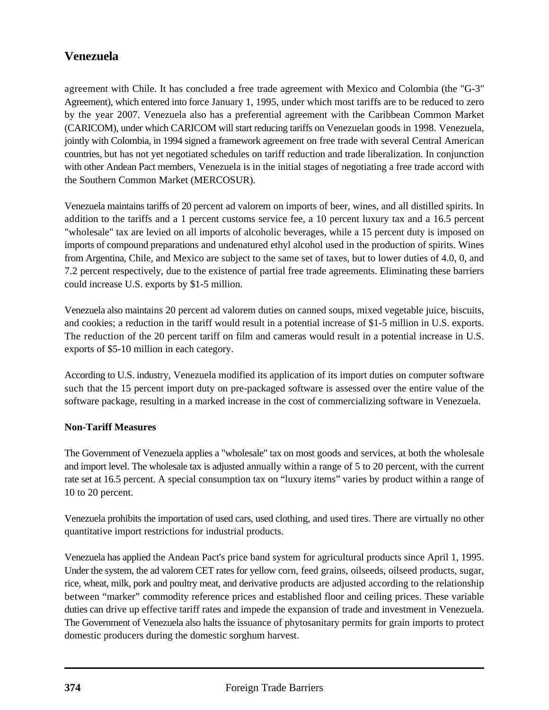agreement with Chile. It has concluded a free trade agreement with Mexico and Colombia (the "G-3" Agreement), which entered into force January 1, 1995, under which most tariffs are to be reduced to zero by the year 2007. Venezuela also has a preferential agreement with the Caribbean Common Market (CARICOM), under which CARICOM will start reducing tariffs on Venezuelan goods in 1998. Venezuela, jointly with Colombia, in 1994 signed a framework agreement on free trade with several Central American countries, but has not yet negotiated schedules on tariff reduction and trade liberalization. In conjunction with other Andean Pact members, Venezuela is in the initial stages of negotiating a free trade accord with the Southern Common Market (MERCOSUR).

Venezuela maintains tariffs of 20 percent ad valorem on imports of beer, wines, and all distilled spirits. In addition to the tariffs and a 1 percent customs service fee, a 10 percent luxury tax and a 16.5 percent "wholesale" tax are levied on all imports of alcoholic beverages, while a 15 percent duty is imposed on imports of compound preparations and undenatured ethyl alcohol used in the production of spirits. Wines from Argentina, Chile, and Mexico are subject to the same set of taxes, but to lower duties of 4.0, 0, and 7.2 percent respectively, due to the existence of partial free trade agreements. Eliminating these barriers could increase U.S. exports by \$1-5 million.

Venezuela also maintains 20 percent ad valorem duties on canned soups, mixed vegetable juice, biscuits, and cookies; a reduction in the tariff would result in a potential increase of \$1-5 million in U.S. exports. The reduction of the 20 percent tariff on film and cameras would result in a potential increase in U.S. exports of \$5-10 million in each category.

According to U.S. industry, Venezuela modified its application of its import duties on computer software such that the 15 percent import duty on pre-packaged software is assessed over the entire value of the software package, resulting in a marked increase in the cost of commercializing software in Venezuela.

## **Non-Tariff Measures**

The Government of Venezuela applies a "wholesale" tax on most goods and services, at both the wholesale and import level. The wholesale tax is adjusted annually within a range of 5 to 20 percent, with the current rate set at 16.5 percent. A special consumption tax on "luxury items" varies by product within a range of 10 to 20 percent.

Venezuela prohibits the importation of used cars, used clothing, and used tires. There are virtually no other quantitative import restrictions for industrial products.

Venezuela has applied the Andean Pact's price band system for agricultural products since April 1, 1995. Under the system, the ad valorem CET rates for yellow corn, feed grains, oilseeds, oilseed products, sugar, rice, wheat, milk, pork and poultry meat, and derivative products are adjusted according to the relationship between "marker" commodity reference prices and established floor and ceiling prices. These variable duties can drive up effective tariff rates and impede the expansion of trade and investment in Venezuela. The Government of Venezuela also halts the issuance of phytosanitary permits for grain imports to protect domestic producers during the domestic sorghum harvest.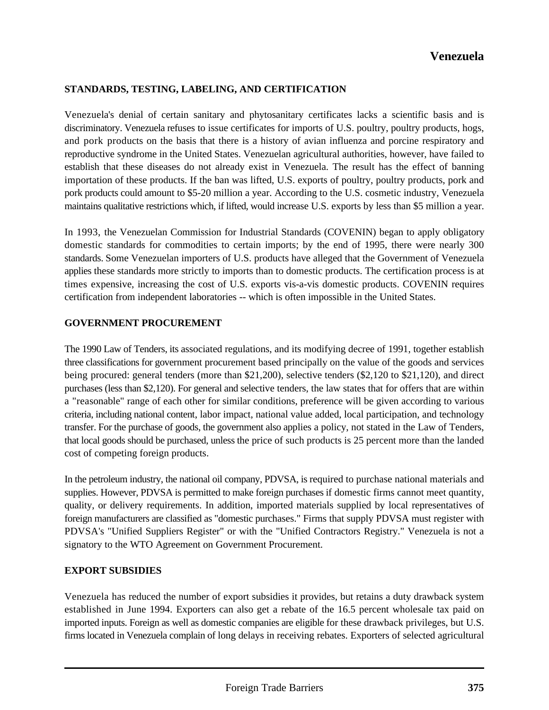## **STANDARDS, TESTING, LABELING, AND CERTIFICATION**

Venezuela's denial of certain sanitary and phytosanitary certificates lacks a scientific basis and is discriminatory. Venezuela refuses to issue certificates for imports of U.S. poultry, poultry products, hogs, and pork products on the basis that there is a history of avian influenza and porcine respiratory and reproductive syndrome in the United States. Venezuelan agricultural authorities, however, have failed to establish that these diseases do not already exist in Venezuela. The result has the effect of banning importation of these products. If the ban was lifted, U.S. exports of poultry, poultry products, pork and pork products could amount to \$5-20 million a year. According to the U.S. cosmetic industry, Venezuela maintains qualitative restrictions which, if lifted, would increase U.S. exports by less than \$5 million a year.

In 1993, the Venezuelan Commission for Industrial Standards (COVENIN) began to apply obligatory domestic standards for commodities to certain imports; by the end of 1995, there were nearly 300 standards. Some Venezuelan importers of U.S. products have alleged that the Government of Venezuela applies these standards more strictly to imports than to domestic products. The certification process is at times expensive, increasing the cost of U.S. exports vis-a-vis domestic products. COVENIN requires certification from independent laboratories -- which is often impossible in the United States.

#### **GOVERNMENT PROCUREMENT**

The 1990 Law of Tenders, its associated regulations, and its modifying decree of 1991, together establish three classifications for government procurement based principally on the value of the goods and services being procured: general tenders (more than \$21,200), selective tenders (\$2,120 to \$21,120), and direct purchases (less than \$2,120). For general and selective tenders, the law states that for offers that are within a "reasonable" range of each other for similar conditions, preference will be given according to various criteria, including national content, labor impact, national value added, local participation, and technology transfer. For the purchase of goods, the government also applies a policy, not stated in the Law of Tenders, that local goods should be purchased, unless the price of such products is 25 percent more than the landed cost of competing foreign products.

In the petroleum industry, the national oil company, PDVSA, is required to purchase national materials and supplies. However, PDVSA is permitted to make foreign purchases if domestic firms cannot meet quantity, quality, or delivery requirements. In addition, imported materials supplied by local representatives of foreign manufacturers are classified as "domestic purchases." Firms that supply PDVSA must register with PDVSA's "Unified Suppliers Register" or with the "Unified Contractors Registry." Venezuela is not a signatory to the WTO Agreement on Government Procurement.

#### **EXPORT SUBSIDIES**

Venezuela has reduced the number of export subsidies it provides, but retains a duty drawback system established in June 1994. Exporters can also get a rebate of the 16.5 percent wholesale tax paid on imported inputs. Foreign as well as domestic companies are eligible for these drawback privileges, but U.S. firms located in Venezuela complain of long delays in receiving rebates. Exporters of selected agricultural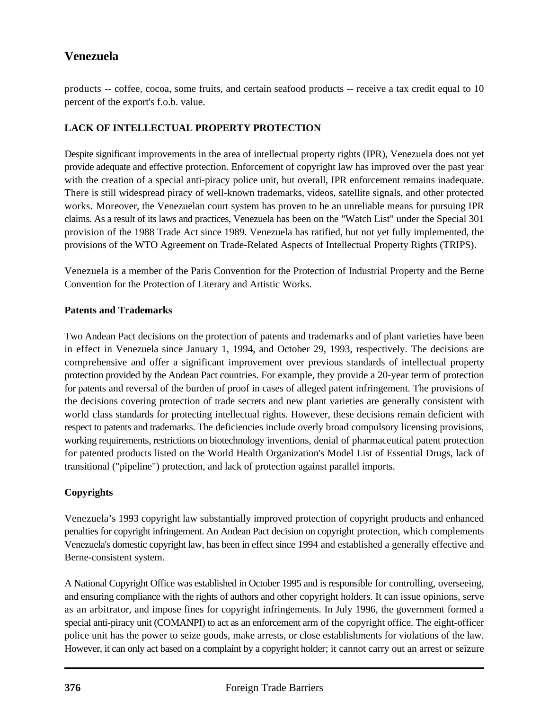products -- coffee, cocoa, some fruits, and certain seafood products -- receive a tax credit equal to 10 percent of the export's f.o.b. value.

## **LACK OF INTELLECTUAL PROPERTY PROTECTION**

Despite significant improvements in the area of intellectual property rights (IPR), Venezuela does not yet provide adequate and effective protection. Enforcement of copyright law has improved over the past year with the creation of a special anti-piracy police unit, but overall, IPR enforcement remains inadequate. There is still widespread piracy of well-known trademarks, videos, satellite signals, and other protected works. Moreover, the Venezuelan court system has proven to be an unreliable means for pursuing IPR claims. As a result of its laws and practices, Venezuela has been on the "Watch List" under the Special 301 provision of the 1988 Trade Act since 1989. Venezuela has ratified, but not yet fully implemented, the provisions of the WTO Agreement on Trade-Related Aspects of Intellectual Property Rights (TRIPS).

Venezuela is a member of the Paris Convention for the Protection of Industrial Property and the Berne Convention for the Protection of Literary and Artistic Works.

## **Patents and Trademarks**

Two Andean Pact decisions on the protection of patents and trademarks and of plant varieties have been in effect in Venezuela since January 1, 1994, and October 29, 1993, respectively. The decisions are comprehensive and offer a significant improvement over previous standards of intellectual property protection provided by the Andean Pact countries. For example, they provide a 20-year term of protection for patents and reversal of the burden of proof in cases of alleged patent infringement. The provisions of the decisions covering protection of trade secrets and new plant varieties are generally consistent with world class standards for protecting intellectual rights. However, these decisions remain deficient with respect to patents and trademarks. The deficiencies include overly broad compulsory licensing provisions, working requirements, restrictions on biotechnology inventions, denial of pharmaceutical patent protection for patented products listed on the World Health Organization's Model List of Essential Drugs, lack of transitional ("pipeline") protection, and lack of protection against parallel imports.

## **Copyrights**

Venezuela's 1993 copyright law substantially improved protection of copyright products and enhanced penalties for copyright infringement. An Andean Pact decision on copyright protection, which complements Venezuela's domestic copyright law, has been in effect since 1994 and established a generally effective and Berne-consistent system.

A National Copyright Office was established in October 1995 and is responsible for controlling, overseeing, and ensuring compliance with the rights of authors and other copyright holders. It can issue opinions, serve as an arbitrator, and impose fines for copyright infringements. In July 1996, the government formed a special anti-piracy unit (COMANPI) to act as an enforcement arm of the copyright office. The eight-officer police unit has the power to seize goods, make arrests, or close establishments for violations of the law. However, it can only act based on a complaint by a copyright holder; it cannot carry out an arrest or seizure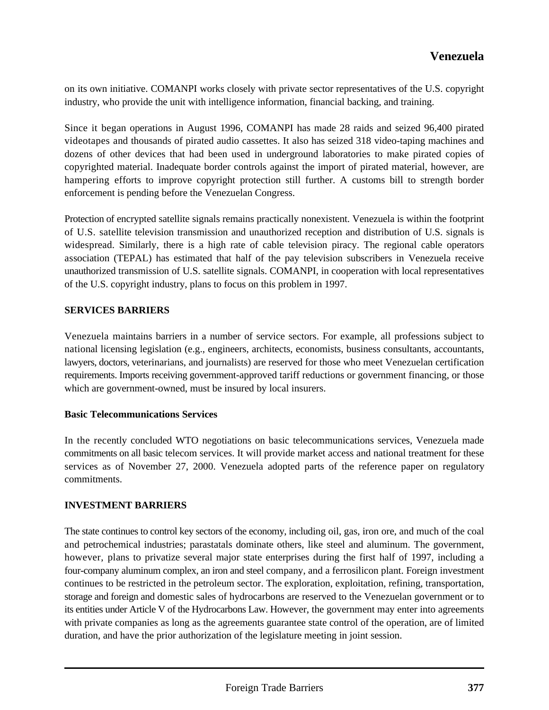on its own initiative. COMANPI works closely with private sector representatives of the U.S. copyright industry, who provide the unit with intelligence information, financial backing, and training.

Since it began operations in August 1996, COMANPI has made 28 raids and seized 96,400 pirated videotapes and thousands of pirated audio cassettes. It also has seized 318 video-taping machines and dozens of other devices that had been used in underground laboratories to make pirated copies of copyrighted material. Inadequate border controls against the import of pirated material, however, are hampering efforts to improve copyright protection still further. A customs bill to strength border enforcement is pending before the Venezuelan Congress.

Protection of encrypted satellite signals remains practically nonexistent. Venezuela is within the footprint of U.S. satellite television transmission and unauthorized reception and distribution of U.S. signals is widespread. Similarly, there is a high rate of cable television piracy. The regional cable operators association (TEPAL) has estimated that half of the pay television subscribers in Venezuela receive unauthorized transmission of U.S. satellite signals. COMANPI, in cooperation with local representatives of the U.S. copyright industry, plans to focus on this problem in 1997.

## **SERVICES BARRIERS**

Venezuela maintains barriers in a number of service sectors. For example, all professions subject to national licensing legislation (e.g., engineers, architects, economists, business consultants, accountants, lawyers, doctors, veterinarians, and journalists) are reserved for those who meet Venezuelan certification requirements. Imports receiving government-approved tariff reductions or government financing, or those which are government-owned, must be insured by local insurers.

#### **Basic Telecommunications Services**

In the recently concluded WTO negotiations on basic telecommunications services, Venezuela made commitments on all basic telecom services. It will provide market access and national treatment for these services as of November 27, 2000. Venezuela adopted parts of the reference paper on regulatory commitments.

## **INVESTMENT BARRIERS**

The state continues to control key sectors of the economy, including oil, gas, iron ore, and much of the coal and petrochemical industries; parastatals dominate others, like steel and aluminum. The government, however, plans to privatize several major state enterprises during the first half of 1997, including a four-company aluminum complex, an iron and steel company, and a ferrosilicon plant. Foreign investment continues to be restricted in the petroleum sector. The exploration, exploitation, refining, transportation, storage and foreign and domestic sales of hydrocarbons are reserved to the Venezuelan government or to its entities under Article V of the Hydrocarbons Law. However, the government may enter into agreements with private companies as long as the agreements guarantee state control of the operation, are of limited duration, and have the prior authorization of the legislature meeting in joint session.